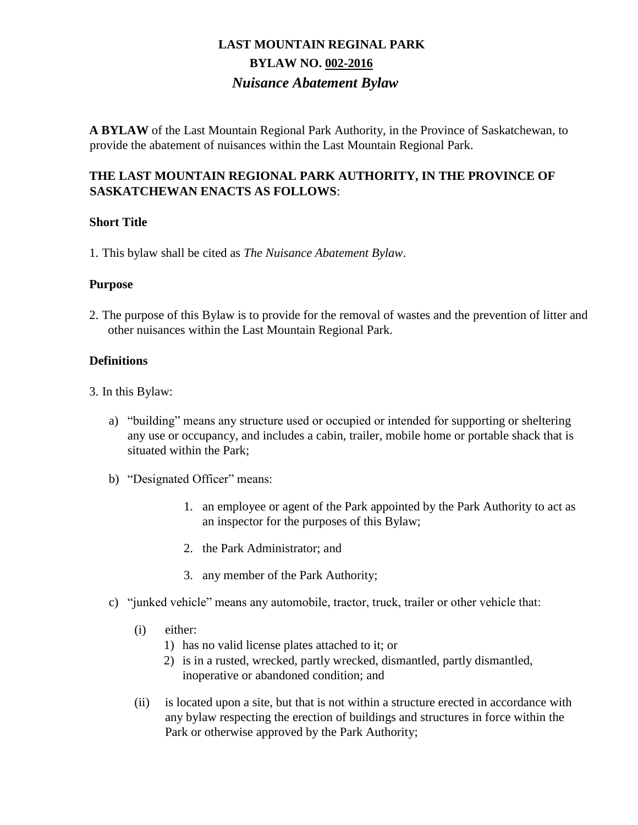**A BYLAW** of the Last Mountain Regional Park Authority, in the Province of Saskatchewan, to provide the abatement of nuisances within the Last Mountain Regional Park.

### **THE LAST MOUNTAIN REGIONAL PARK AUTHORITY, IN THE PROVINCE OF SASKATCHEWAN ENACTS AS FOLLOWS**:

### **Short Title**

1. This bylaw shall be cited as *The Nuisance Abatement Bylaw*.

### **Purpose**

2. The purpose of this Bylaw is to provide for the removal of wastes and the prevention of litter and other nuisances within the Last Mountain Regional Park.

### **Definitions**

- 3. In this Bylaw:
	- a) "building" means any structure used or occupied or intended for supporting or sheltering any use or occupancy, and includes a cabin, trailer, mobile home or portable shack that is situated within the Park;
	- b) "Designated Officer" means:
		- 1. an employee or agent of the Park appointed by the Park Authority to act as an inspector for the purposes of this Bylaw;
		- 2. the Park Administrator; and
		- 3. any member of the Park Authority;
	- c) "junked vehicle" means any automobile, tractor, truck, trailer or other vehicle that:
		- (i) either:
			- 1) has no valid license plates attached to it; or
			- 2) is in a rusted, wrecked, partly wrecked, dismantled, partly dismantled, inoperative or abandoned condition; and
		- (ii) is located upon a site, but that is not within a structure erected in accordance with any bylaw respecting the erection of buildings and structures in force within the Park or otherwise approved by the Park Authority;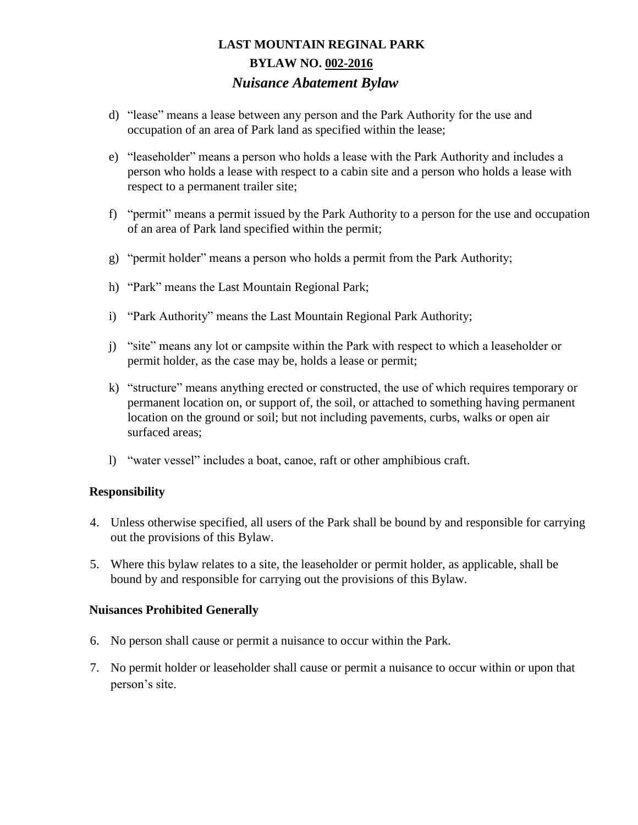- d) "lease" means a lease between any person and the Park Authority for the use and occupation of an area of Park land as specified within the lease;
- e) "leaseholder" means a person who holds a lease with the Park Authority and includes a person who holds a lease with respect to a cabin site and a person who holds a lease with respect to a permanent trailer site;
- f) "permit" means a permit issued by the Park Authority to a person for the use and occupation of an area of Park land specified within the permit;
- g) "permit holder" means a person who holds a permit from the Park Authority;
- h) "Park" means the Last Mountain Regional Park;
- i) "Park Authority" means the Last Mountain Regional Park Authority;
- j) "site" means any lot or campsite within the Park with respect to which a leaseholder or permit holder, as the case may be, holds a lease or permit;
- k) "structure" means anything erected or constructed, the use of which requires temporary or permanent location on, or support of, the soil, or attached to something having permanent location on the ground or soil; but not including pavements, curbs, walks or open air surfaced areas;
- l) "water vessel" includes a boat, canoe, raft or other amphibious craft.

#### **Responsibility**

- 4. Unless otherwise specified, all users of the Park shall be bound by and responsible for carrying out the provisions of this Bylaw.
- 5. Where this bylaw relates to a site, the leaseholder or permit holder, as applicable, shall be bound by and responsible for carrying out the provisions of this Bylaw.

### **Nuisances Prohibited Generally**

- 6. No person shall cause or permit a nuisance to occur within the Park.
- 7. No permit holder or leaseholder shall cause or permit a nuisance to occur within or upon that person's site.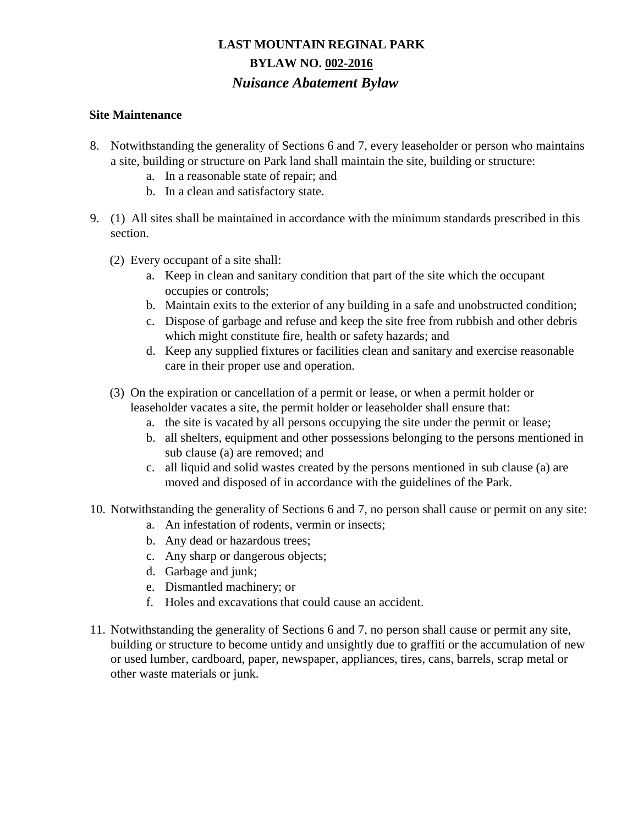### **Site Maintenance**

- 8. Notwithstanding the generality of Sections 6 and 7, every leaseholder or person who maintains a site, building or structure on Park land shall maintain the site, building or structure:
	- a. In a reasonable state of repair; and
	- b. In a clean and satisfactory state.
- 9. (1) All sites shall be maintained in accordance with the minimum standards prescribed in this section.
	- (2) Every occupant of a site shall:
		- a. Keep in clean and sanitary condition that part of the site which the occupant occupies or controls;
		- b. Maintain exits to the exterior of any building in a safe and unobstructed condition;
		- c. Dispose of garbage and refuse and keep the site free from rubbish and other debris which might constitute fire, health or safety hazards; and
		- d. Keep any supplied fixtures or facilities clean and sanitary and exercise reasonable care in their proper use and operation.
	- (3) On the expiration or cancellation of a permit or lease, or when a permit holder or leaseholder vacates a site, the permit holder or leaseholder shall ensure that:
		- a. the site is vacated by all persons occupying the site under the permit or lease;
		- b. all shelters, equipment and other possessions belonging to the persons mentioned in sub clause (a) are removed; and
		- c. all liquid and solid wastes created by the persons mentioned in sub clause (a) are moved and disposed of in accordance with the guidelines of the Park.
- 10. Notwithstanding the generality of Sections 6 and 7, no person shall cause or permit on any site:
	- a. An infestation of rodents, vermin or insects;
	- b. Any dead or hazardous trees;
	- c. Any sharp or dangerous objects;
	- d. Garbage and junk;
	- e. Dismantled machinery; or
	- f. Holes and excavations that could cause an accident.
- 11. Notwithstanding the generality of Sections 6 and 7, no person shall cause or permit any site, building or structure to become untidy and unsightly due to graffiti or the accumulation of new or used lumber, cardboard, paper, newspaper, appliances, tires, cans, barrels, scrap metal or other waste materials or junk.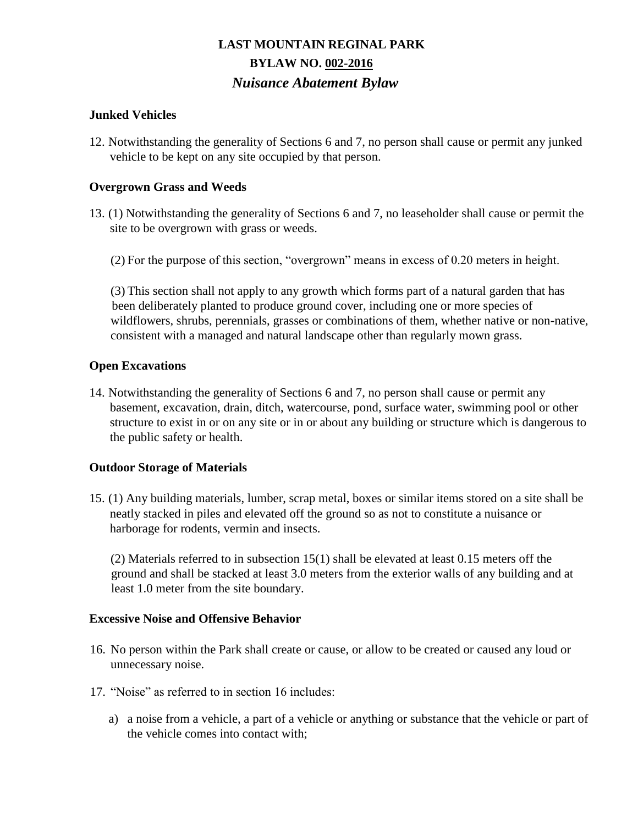### **Junked Vehicles**

12. Notwithstanding the generality of Sections 6 and 7, no person shall cause or permit any junked vehicle to be kept on any site occupied by that person.

### **Overgrown Grass and Weeds**

- 13. (1) Notwithstanding the generality of Sections 6 and 7, no leaseholder shall cause or permit the site to be overgrown with grass or weeds.
	- (2) For the purpose of this section, "overgrown" means in excess of 0.20 meters in height.

(3) This section shall not apply to any growth which forms part of a natural garden that has been deliberately planted to produce ground cover, including one or more species of wildflowers, shrubs, perennials, grasses or combinations of them, whether native or non-native, consistent with a managed and natural landscape other than regularly mown grass.

#### **Open Excavations**

14. Notwithstanding the generality of Sections 6 and 7, no person shall cause or permit any basement, excavation, drain, ditch, watercourse, pond, surface water, swimming pool or other structure to exist in or on any site or in or about any building or structure which is dangerous to the public safety or health.

#### **Outdoor Storage of Materials**

15. (1) Any building materials, lumber, scrap metal, boxes or similar items stored on a site shall be neatly stacked in piles and elevated off the ground so as not to constitute a nuisance or harborage for rodents, vermin and insects.

(2) Materials referred to in subsection 15(1) shall be elevated at least 0.15 meters off the ground and shall be stacked at least 3.0 meters from the exterior walls of any building and at least 1.0 meter from the site boundary.

#### **Excessive Noise and Offensive Behavior**

- 16. No person within the Park shall create or cause, or allow to be created or caused any loud or unnecessary noise.
- 17. "Noise" as referred to in section 16 includes:
	- a) a noise from a vehicle, a part of a vehicle or anything or substance that the vehicle or part of the vehicle comes into contact with;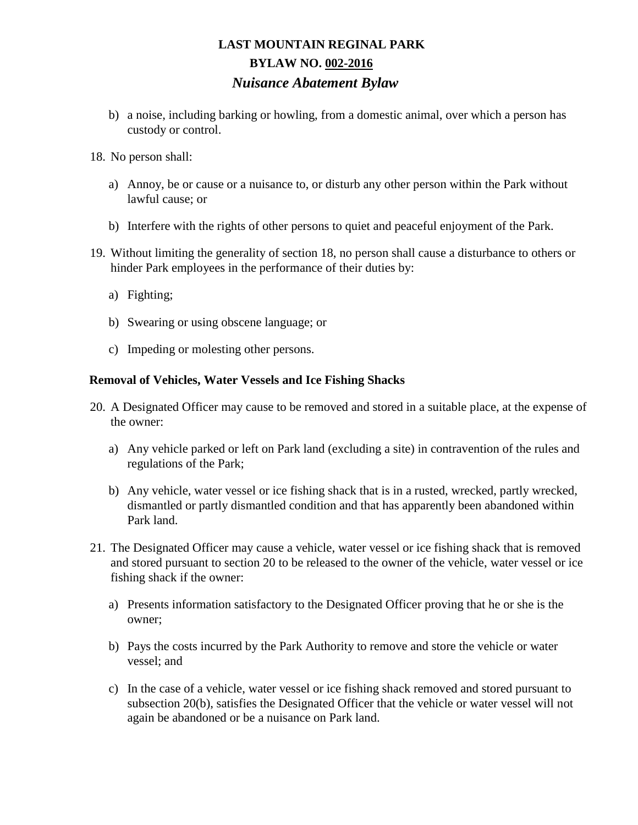- b) a noise, including barking or howling, from a domestic animal, over which a person has custody or control.
- 18. No person shall:
	- a) Annoy, be or cause or a nuisance to, or disturb any other person within the Park without lawful cause; or
	- b) Interfere with the rights of other persons to quiet and peaceful enjoyment of the Park.
- 19. Without limiting the generality of section 18, no person shall cause a disturbance to others or hinder Park employees in the performance of their duties by:
	- a) Fighting;
	- b) Swearing or using obscene language; or
	- c) Impeding or molesting other persons.

#### **Removal of Vehicles, Water Vessels and Ice Fishing Shacks**

- 20. A Designated Officer may cause to be removed and stored in a suitable place, at the expense of the owner:
	- a) Any vehicle parked or left on Park land (excluding a site) in contravention of the rules and regulations of the Park;
	- b) Any vehicle, water vessel or ice fishing shack that is in a rusted, wrecked, partly wrecked, dismantled or partly dismantled condition and that has apparently been abandoned within Park land.
- 21. The Designated Officer may cause a vehicle, water vessel or ice fishing shack that is removed and stored pursuant to section 20 to be released to the owner of the vehicle, water vessel or ice fishing shack if the owner:
	- a) Presents information satisfactory to the Designated Officer proving that he or she is the owner;
	- b) Pays the costs incurred by the Park Authority to remove and store the vehicle or water vessel; and
	- c) In the case of a vehicle, water vessel or ice fishing shack removed and stored pursuant to subsection 20(b), satisfies the Designated Officer that the vehicle or water vessel will not again be abandoned or be a nuisance on Park land.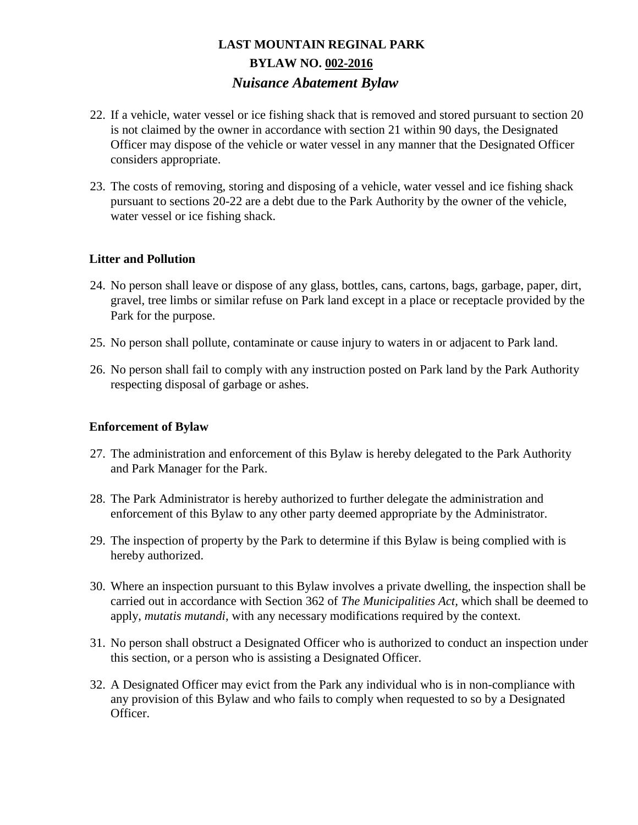- 22. If a vehicle, water vessel or ice fishing shack that is removed and stored pursuant to section 20 is not claimed by the owner in accordance with section 21 within 90 days, the Designated Officer may dispose of the vehicle or water vessel in any manner that the Designated Officer considers appropriate.
- 23. The costs of removing, storing and disposing of a vehicle, water vessel and ice fishing shack pursuant to sections 20-22 are a debt due to the Park Authority by the owner of the vehicle, water vessel or ice fishing shack.

### **Litter and Pollution**

- 24. No person shall leave or dispose of any glass, bottles, cans, cartons, bags, garbage, paper, dirt, gravel, tree limbs or similar refuse on Park land except in a place or receptacle provided by the Park for the purpose.
- 25. No person shall pollute, contaminate or cause injury to waters in or adjacent to Park land.
- 26. No person shall fail to comply with any instruction posted on Park land by the Park Authority respecting disposal of garbage or ashes.

#### **Enforcement of Bylaw**

- 27. The administration and enforcement of this Bylaw is hereby delegated to the Park Authority and Park Manager for the Park.
- 28. The Park Administrator is hereby authorized to further delegate the administration and enforcement of this Bylaw to any other party deemed appropriate by the Administrator.
- 29. The inspection of property by the Park to determine if this Bylaw is being complied with is hereby authorized.
- 30. Where an inspection pursuant to this Bylaw involves a private dwelling, the inspection shall be carried out in accordance with Section 362 of *The Municipalities Act,* which shall be deemed to apply, *mutatis mutandi*, with any necessary modifications required by the context.
- 31. No person shall obstruct a Designated Officer who is authorized to conduct an inspection under this section, or a person who is assisting a Designated Officer.
- 32. A Designated Officer may evict from the Park any individual who is in non-compliance with any provision of this Bylaw and who fails to comply when requested to so by a Designated Officer.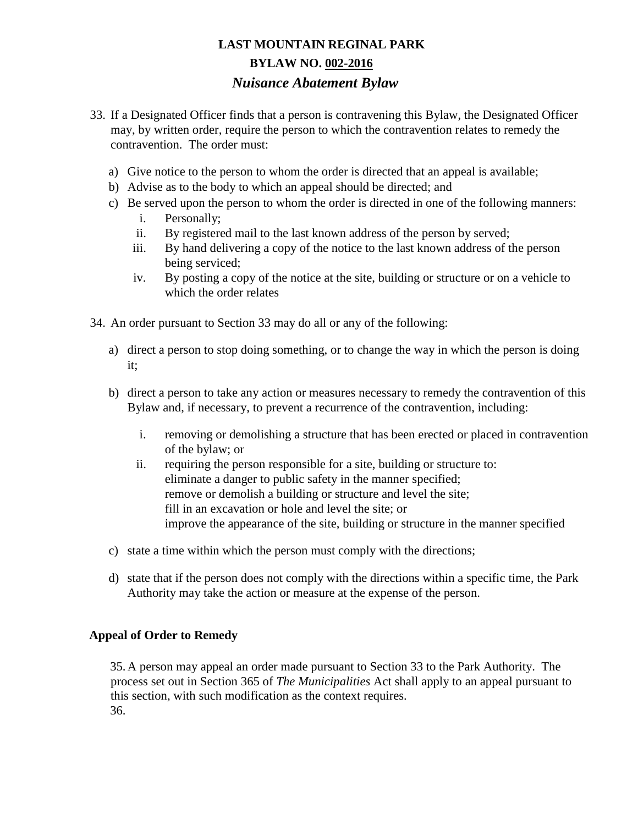- 33. If a Designated Officer finds that a person is contravening this Bylaw, the Designated Officer may, by written order, require the person to which the contravention relates to remedy the contravention. The order must:
	- a) Give notice to the person to whom the order is directed that an appeal is available;
	- b) Advise as to the body to which an appeal should be directed; and
	- c) Be served upon the person to whom the order is directed in one of the following manners:
		- i. Personally;
		- ii. By registered mail to the last known address of the person by served;
		- iii. By hand delivering a copy of the notice to the last known address of the person being serviced;
		- iv. By posting a copy of the notice at the site, building or structure or on a vehicle to which the order relates
- 34. An order pursuant to Section 33 may do all or any of the following:
	- a) direct a person to stop doing something, or to change the way in which the person is doing it;
	- b) direct a person to take any action or measures necessary to remedy the contravention of this Bylaw and, if necessary, to prevent a recurrence of the contravention, including:
		- i. removing or demolishing a structure that has been erected or placed in contravention of the bylaw; or
		- ii. requiring the person responsible for a site, building or structure to: eliminate a danger to public safety in the manner specified; remove or demolish a building or structure and level the site; fill in an excavation or hole and level the site; or improve the appearance of the site, building or structure in the manner specified
	- c) state a time within which the person must comply with the directions;
	- d) state that if the person does not comply with the directions within a specific time, the Park Authority may take the action or measure at the expense of the person.

### **Appeal of Order to Remedy**

35.A person may appeal an order made pursuant to Section 33 to the Park Authority. The process set out in Section 365 of *The Municipalities* Act shall apply to an appeal pursuant to this section, with such modification as the context requires. 36.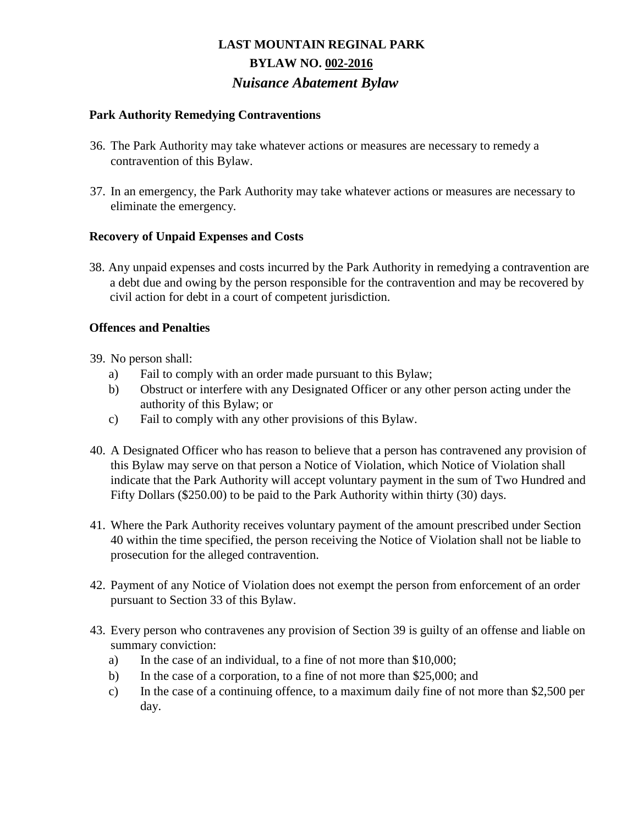### **Park Authority Remedying Contraventions**

- 36. The Park Authority may take whatever actions or measures are necessary to remedy a contravention of this Bylaw.
- 37. In an emergency, the Park Authority may take whatever actions or measures are necessary to eliminate the emergency*.*

### **Recovery of Unpaid Expenses and Costs**

38. Any unpaid expenses and costs incurred by the Park Authority in remedying a contravention are a debt due and owing by the person responsible for the contravention and may be recovered by civil action for debt in a court of competent jurisdiction.

### **Offences and Penalties**

- 39. No person shall:
	- a) Fail to comply with an order made pursuant to this Bylaw;
	- b) Obstruct or interfere with any Designated Officer or any other person acting under the authority of this Bylaw; or
	- c) Fail to comply with any other provisions of this Bylaw.
- 40. A Designated Officer who has reason to believe that a person has contravened any provision of this Bylaw may serve on that person a Notice of Violation, which Notice of Violation shall indicate that the Park Authority will accept voluntary payment in the sum of Two Hundred and Fifty Dollars (\$250.00) to be paid to the Park Authority within thirty (30) days.
- 41. Where the Park Authority receives voluntary payment of the amount prescribed under Section 40 within the time specified, the person receiving the Notice of Violation shall not be liable to prosecution for the alleged contravention.
- 42. Payment of any Notice of Violation does not exempt the person from enforcement of an order pursuant to Section 33 of this Bylaw.
- 43. Every person who contravenes any provision of Section 39 is guilty of an offense and liable on summary conviction:
	- a) In the case of an individual, to a fine of not more than \$10,000;
	- b) In the case of a corporation, to a fine of not more than \$25,000; and
	- c) In the case of a continuing offence, to a maximum daily fine of not more than \$2,500 per day.